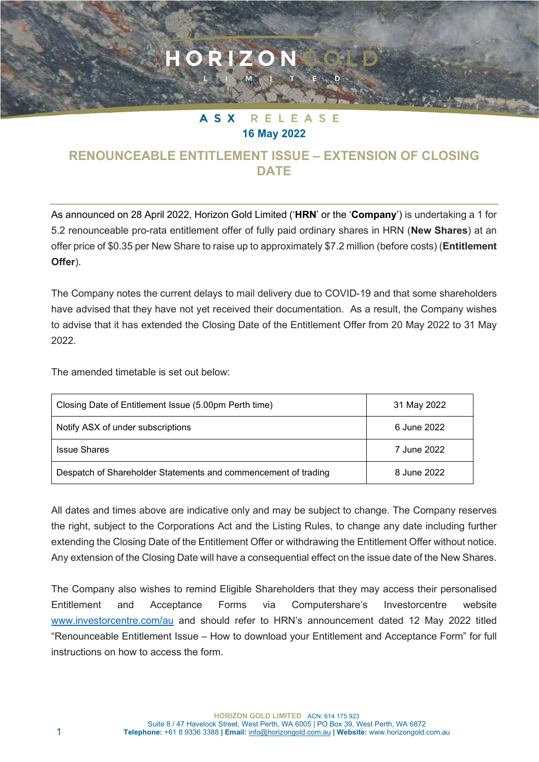## **ASX** RELEASE **16 May 2022**

ORIZON

## **RENOUNCEABLE ENTITLEMENT ISSUE – EXTENSION OF CLOSING DATE**

As announced on 28 April 2022, Horizon Gold Limited ('**HRN**' or the '**Company**') is undertaking a 1 for 5.2 renounceable pro-rata entitlement offer of fully paid ordinary shares in HRN (**New Shares**) at an offer price of \$0.35 per New Share to raise up to approximately \$7.2 million (before costs) (**Entitlement Offer**).

The Company notes the current delays to mail delivery due to COVID-19 and that some shareholders have advised that they have not yet received their documentation. As a result, the Company wishes to advise that it has extended the Closing Date of the Entitlement Offer from 20 May 2022 to 31 May 2022.

The amended timetable is set out below:

| Closing Date of Entitlement Issue (5.00pm Perth time)          | 31 May 2022 |
|----------------------------------------------------------------|-------------|
| Notify ASX of under subscriptions                              | 6 June 2022 |
| <b>Issue Shares</b>                                            | 7 June 2022 |
| Despatch of Shareholder Statements and commencement of trading | 8 June 2022 |

All dates and times above are indicative only and may be subject to change. The Company reserves the right, subject to the Corporations Act and the Listing Rules, to change any date including further extending the Closing Date of the Entitlement Offer or withdrawing the Entitlement Offer without notice. Any extension of the Closing Date will have a consequential effect on the issue date of the New Shares.

The Company also wishes to remind Eligible Shareholders that they may access their personalised Entitlement and Acceptance Forms via Computershare's Investorcentre website [www.investorcentre.com/au](http://www.investorcentre.com/au) and should refer to HRN's announcement dated 12 May 2022 titled "Renounceable Entitlement Issue – How to download your Entitlement and Acceptance Form" for full instructions on how to access the form.